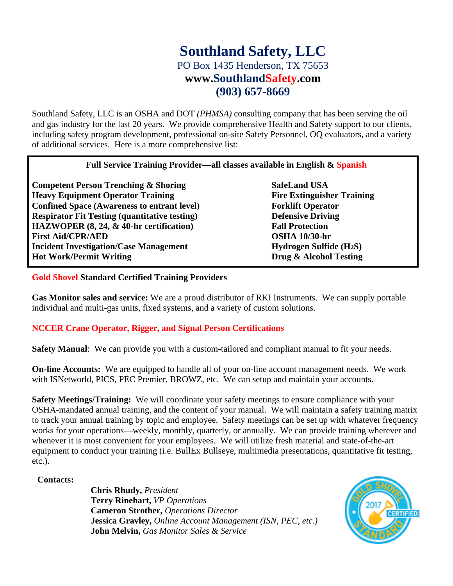## **Southland Safety, LLC** PO Box 1435 Henderson, TX 75653 **www.SouthlandSafety.com (903) 657-8669**

Southland Safety, LLC is an OSHA and DOT *(PHMSA)* consulting company that has been serving the oil and gas industry for the last 20 years. We provide comprehensive Health and Safety support to our clients, including safety program development, professional on-site Safety Personnel, OQ evaluators, and a variety of additional services. Here is a more comprehensive list:

#### **Full Service Training Provider—all classes available in English & Spanish**

**Competent Person Trenching & Shoring SafeLand USA Heavy Equipment Operator Training Fire Extinguisher Training Confined Space (Awareness to entrant level) Forklift Operator Respirator Fit Testing (quantitative testing) Defensive Driving HAZWOPER (8, 24, & 40-hr certification) Fall Protection First Aid/CPR/AED OSHA 10/30-hr Incident Investigation/Case Management Hydrogen Sulfide (H2S) Hot Work/Permit Writing Drug & Alcohol Testing**

### **Gold Shovel Standard Certified Training Providers**

**Gas Monitor sales and service:** We are a proud distributor of RKI Instruments. We can supply portable individual and multi-gas units, fixed systems, and a variety of custom solutions.

### **NCCER Crane Operator, Rigger, and Signal Person Certifications**

**Safety Manual**: We can provide you with a custom-tailored and compliant manual to fit your needs.

**On-line Accounts:** We are equipped to handle all of your on-line account management needs. We work with ISNetworld, PICS, PEC Premier, BROWZ, etc. We can setup and maintain your accounts.

**Safety Meetings/Training:** We will coordinate your safety meetings to ensure compliance with your OSHA-mandated annual training, and the content of your manual. We will maintain a safety training matrix to track your annual training by topic and employee. Safety meetings can be set up with whatever frequency works for your operations—weekly, monthly, quarterly, or annually. We can provide training wherever and whenever it is most convenient for your employees. We will utilize fresh material and state-of-the-art equipment to conduct your training (i.e. BullEx Bullseye, multimedia presentations, quantitative fit testing, etc.).

#### **Contacts:**

**Chris Rhudy,** *President* **Terry Rinehart,** *VP Operations* **Cameron Strother,** *Operations Director* **Jessica Gravley,** *Online Account Management (ISN, PEC, etc.)* **John Melvin,** *Gas Monitor Sales & Service*